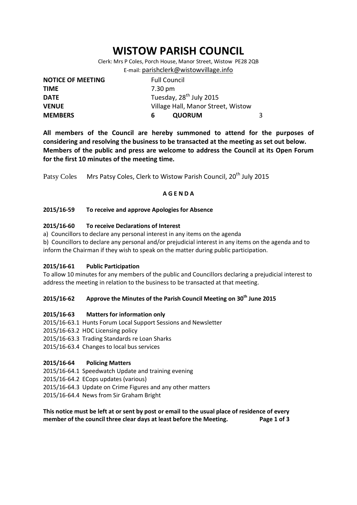# **WISTOW PARISH COUNCIL**

Clerk: Mrs P Coles, Porch House, Manor Street, Wistow PE28 2QB E-mail: [parishclerk@wistowvillage.info](mailto:parishclerk@wistowvillage.info)

| <b>NOTICE OF MEETING</b> | <b>Full Council</b>                 |   |
|--------------------------|-------------------------------------|---|
| <b>TIME</b>              | 7.30 pm                             |   |
| <b>DATE</b>              | Tuesday, 28 <sup>th</sup> July 2015 |   |
| <b>VENUE</b>             | Village Hall, Manor Street, Wistow  |   |
| <b>MEMBERS</b>           | <b>QUORUM</b><br>6                  | 3 |

**All members of the Council are hereby summoned to attend for the purposes of considering and resolving the business to be transacted at the meeting as set out below. Members of the public and press are welcome to address the Council at its Open Forum for the first 10 minutes of the meeting time.**

Patsy Coles Mrs Patsy Coles, Clerk to Wistow Parish Council, 20<sup>th</sup> July 2015

#### **A G E N D A**

#### **2015/16-59 To receive and approve Apologies for Absence**

#### **2015/16-60 To receive Declarations of Interest**

- a) Councillors to declare any personal interest in any items on the agenda
- b) Councillors to declare any personal and/or prejudicial interest in any items on the agenda and to inform the Chairman if they wish to speak on the matter during public participation.

#### **2015/16-61 Public Participation**

To allow 10 minutes for any members of the public and Councillors declaring a prejudicial interest to address the meeting in relation to the business to be transacted at that meeting.

# **2015/16-62 Approve the Minutes of the Parish Council Meeting on 30th June 2015**

#### **2015/16-63 Matters for information only**

- 2015/16-63.1 Hunts Forum Local Support Sessions and Newsletter
- 2015/16-63.2 HDC Licensing policy
- 2015/16-63.3 Trading Standards re Loan Sharks
- 2015/16-63.4 Changes to local bus services

#### **2015/16-64 Policing Matters**

- 2015/16-64.1 Speedwatch Update and training evening
- 2015/16-64.2 ECops updates (various)
- 2015/16-64.3 Update on Crime Figures and any other matters
- 2015/16-64.4 News from Sir Graham Bright

# **This notice must be left at or sent by post or email to the usual place of residence of every member of the council three clear days at least before the Meeting. Page 1 of 3**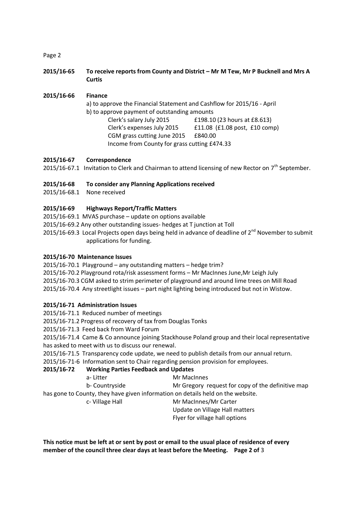#### Page 2

**2015/16-65 To receive reports from County and District – Mr M Tew, Mr P Bucknell and Mrs A Curtis**

**2015/16-66 Finance** a) to approve the Financial Statement and Cashflow for 2015/16 - April b) to approve payment of outstanding amounts Clerk's salary July 2015 £198.10 (23 hours at £8.613) Clerk's expenses July 2015 £11.08 (£1.08 post, £10 comp) CGM grass cutting June 2015 £840.00 Income from County for grass cutting £474.33

#### **2015/16-67 Correspondence**

2015/16-67.1 Invitation to Clerk and Chairman to attend licensing of new Rector on 7<sup>th</sup> September.

#### **2015/16-68 To consider any Planning Applications received**

2015/16-68.1 None received

#### **2015/16-69 Highways Report/Traffic Matters**

- 2015/16-69.1 MVAS purchase update on options available
- 2015/16-69.2 Any other outstanding issues- hedges at T junction at Toll
- 2015/16-69.3 Local Projects open days being held in advance of deadline of  $2^{nd}$  November to submit applications for funding.

#### **2015/16-70 Maintenance Issues**

2015/16-70.1 Playground – any outstanding matters – hedge trim?

- 2015/16-70.2 Playground rota/risk assessment forms Mr MacInnes June,Mr Leigh July
- 2015/16-70.3 CGM asked to strim perimeter of playground and around lime trees on Mill Road

2015/16-70.4 Any streetlight issues – part night lighting being introduced but not in Wistow.

#### **2015/16-71 Administration Issues**

2015/16-71.1 Reduced number of meetings

2015/16-71.2 Progress of recovery of tax from Douglas Tonks

2015/16-71.3 Feed back from Ward Forum

2015/16-71.4 Came & Co announce joining Stackhouse Poland group and their local representative has asked to meet with us to discuss our renewal.

2015/16-71.5 Transparency code update, we need to publish details from our annual return.

2015/16-71-6 Information sent to Chair regarding pension provision for employees.

# **2015/16-72 Working Parties Feedback and Updates**

| a-Litter | Mr MacInnes    |                                                   |
|----------|----------------|---------------------------------------------------|
|          | b- Countryside | Mr Gregory request for copy of the definitive map |
|          |                |                                                   |

has gone to County, they have given information on details held on the website.

c- Village Hall Mr MacInnes/Mr Carter Update on Village Hall matters

Flyer for village hall options

**This notice must be left at or sent by post or email to the usual place of residence of every member of the council three clear days at least before the Meeting. Page 2 of** 3